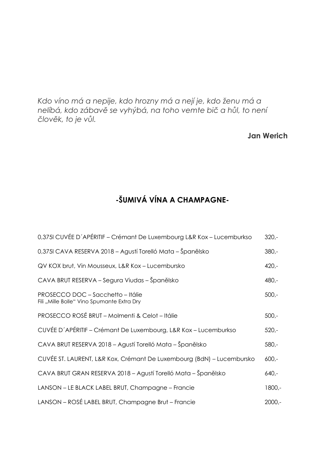*Kdo víno má a nepije, kdo hrozny má a nejí je, kdo ženu má a nelíbá, kdo zábavě se vyhýbá, na toho vemte bič a hůl, to není člověk, to je vůl.*

### **Jan Werich**

# **-ŠUMIVÁ VÍNA A CHAMPAGNE-**

| 0,375I CUVÉE D'APÉRITIF - Crémant De Luxembourg L&R Kox - Lucemburkso           | $320 -$  |
|---------------------------------------------------------------------------------|----------|
| 0,375I CAVA RESERVA 2018 – Agustí Torelló Mata – Španělsko                      | $380 -$  |
| QV KOX brut, Vin Mousseux, L&R Kox - Lucembursko                                | $420 -$  |
| CAVA BRUT RESERVA – Segura Viudas – Španělsko                                   | $480 -$  |
| PROSECCO DOC - Sacchetto - Itálie<br>Fili "Mille Bolle" Vino Spumante Extra Dry | $500 -$  |
| PROSECCO ROSÉ BRUT - Molmenti & Celot - Itálie                                  | $500 -$  |
| CUVÉE D'APÉRITIF - Crémant De Luxembourg, L&R Kox - Lucemburkso                 | $520 -$  |
| CAVA BRUT RESERVA 2018 – Agustí Torelló Mata – Španělsko                        | $580 -$  |
| CUVÉE ST. LAURENT, L&R Kox, Crémant De Luxembourg (BdN) – Lucembursko           | $600 -$  |
| CAVA BRUT GRAN RESERVA 2018 – Agustí Torelló Mata – Španělsko                   | 640,-    |
| LANSON - LE BLACK LABEL BRUT, Champagne - Francie                               | 1800.    |
| LANSON – ROSÉ LABEL BRUT, Champagne Brut – Francie                              | $2000,-$ |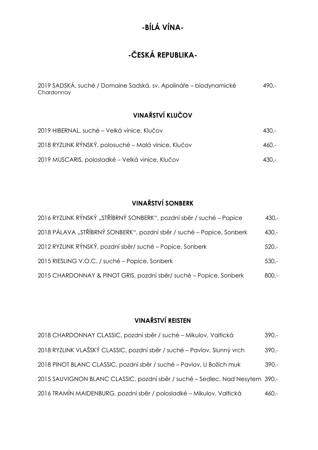# **-ČESKÁ REPUBLIKA-**

| 2019 SADSKÁ, suché / Domaine Sadská, sv. Apolináře – biodynamické | $490 -$ |
|-------------------------------------------------------------------|---------|
| Chardonnay                                                        |         |

## **VINAŘSTVÍ KLUČOV**

| 2019 HIBERNAL, suché – Velká vinice, Klučov          | - 430.- |
|------------------------------------------------------|---------|
| 2018 RYZLINK RÝNSKÝ, polosuché – Malá vinice, Klučov | -.460   |
| 2019 MUSCARIS, polosladké – Velká vinice, Klučov     | - 430.- |

## **VINAŘSTVÍ SONBERK**

| 2016 RYZLINK RÝNSKÝ "STŘÍBRNÝ SONBERK", pozdní sběr / suché – Popice  | $430 -$ |
|-----------------------------------------------------------------------|---------|
| 2018 PÁLAVA "STŘÍBRNÝ SONBERK", pozdní sběr / suché – Popice, Sonberk | $430 -$ |
| 2012 RYZLINK RÝNSKÝ, pozdní sběr/ suché – Popice, Sonberk             | $520 -$ |
| 2015 RIESLING V.O.C. / suché - Popice, Sonberk                        | $530 -$ |
| 2015 CHARDONNAY & PINOT GRIS, pozdní sběr/suché – Popice, Sonberk     | $800 -$ |

## **VINAŘSTVÍ REISTEN**

| 2018 CHARDONNAY CLASSIC, pozdní sběr / suché – Mikulov, Valtická              | $390 -$ |
|-------------------------------------------------------------------------------|---------|
| 2018 RYZLINK VLAŠSKÝ CLASSIC, pozdní sběr / suché – Pavlov, Slunný vrch       | $390 -$ |
| 2018 PINOT BLANC CLASSIC, pozdní sběr / suché – Pavlov, U Božích muk          | $390 -$ |
| 2015 SAUVIGNON BLANC CLASSIC, pozdní sběr / suché – Sedlec, Nad Nesytem 390,- |         |
| 2016 TRAMÍN MAIDENBURG, pozdní sběr / polosladké – Mikulov, Valtická          | $460 -$ |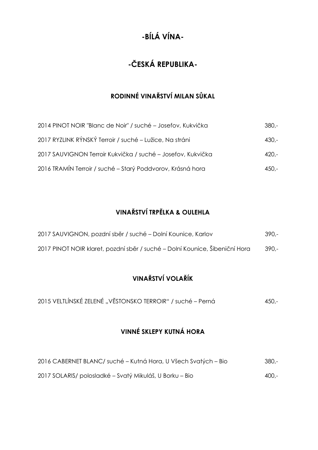# **-ČESKÁ REPUBLIKA-**

## **RODINNÉ VINAŘSTVÍ MILAN SŮKAL**

| 2014 PINOT NOIR "Blanc de Noir" / suché – Josefov, Kukvička | $380 -$ |
|-------------------------------------------------------------|---------|
| 2017 RYZLINK RÝNSKÝ Terroir / suché – Lužice, Na stráni     | $430 -$ |
| 2017 SAUVIGNON Terroir Kukvička / suché – Josefov, Kukvička | $420 -$ |
| 2016 TRAMÍN Terroir / suché - Starý Poddvorov, Krásná hora  | $450 -$ |

## **VINAŘSTVÍ TRPĚLKA & OULEHLA**

| 2017 SAUVIGNON, pozdní sběr / suché – Dolní Kounice, Karlov                 | $390 -$ |
|-----------------------------------------------------------------------------|---------|
| 2017 PINOT NOIR klaret, pozdní sběr / suché – Dolní Kounice, Šibeniční Hora | $390 -$ |

## **VINAŘSTVÍ VOLAŘÍK**

| 2015 VELTLÍNSKÉ ZELENÉ "VĚSTONSKO TERROIR" / suché – Perná |  |  | $450 -$ |
|------------------------------------------------------------|--|--|---------|
|------------------------------------------------------------|--|--|---------|

## **VINNÉ SKLEPY KUTNÁ HORA**

| 2016 CABERNET BLANC/ suché – Kutná Hora, U Všech Svatých – Bio | -.380   |
|----------------------------------------------------------------|---------|
| 2017 SOLARIS/ polosladké – Svatý Mikuláš, U Borku – Bio        | $400 -$ |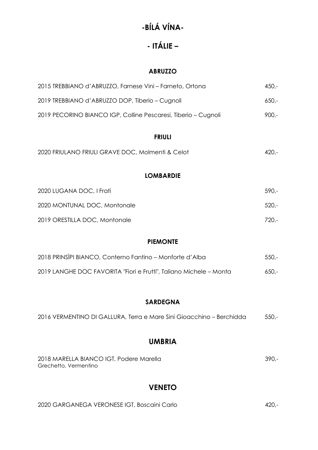# **- ITÁLIE –**

#### **ABRUZZO**

| 2015 TREBBIANO d'ABRUZZO, Farnese Vini – Farneto, Ortona       | $450 -$ |
|----------------------------------------------------------------|---------|
| 2019 TREBBIANO d'ABRUZZO DOP, Tiberio – Cugnoli                | $650 -$ |
| 2019 PECORINO BIANCO IGP, Colline Pescaresi, Tiberio – Cugnoli | $900 -$ |

#### **FRIULI**

| 2020 FRIULANO FRIULI GRAVE DOC, Molmenti & Celot | $420 -$ |
|--------------------------------------------------|---------|
|                                                  |         |

### **LOMBARDIE**

| 2020 LUGANA DOC, I Frati      | $.590 -$ |
|-------------------------------|----------|
| 2020 MONTUNAL DOC, Montonale  | $520 -$  |
| 2019 ORESTILLA DOC, Montonale | $720 -$  |

### **PIEMONTE**

| 2018 PRINSIPI BIANCO, Conterno Fantino - Monforte d'Alba           | -550.-  |
|--------------------------------------------------------------------|---------|
| 2019 LANGHE DOC FAVORITA "Fiori e Frutti", Taliano Michele – Monta | $650 -$ |

### **SARDEGNA**

| 2016 VERMENTINO DI GALLURA, Terra e Mare Sini Gioacchino – Berchidda | $550 -$ |
|----------------------------------------------------------------------|---------|
|                                                                      |         |

### **UMBRIA**

| 2018 MARELLA BIANCO IGT, Podere Marella | .390. |
|-----------------------------------------|-------|
| Grechetto, Vermentino                   |       |

### **VENETO**

| 2020 GARGANEGA VERONESE IGT, Boscaini Carlo | $420 -$ |
|---------------------------------------------|---------|
|                                             |         |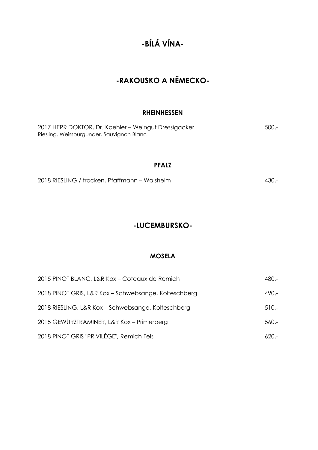## **-RAKOUSKO A NĚMECKO-**

#### **RHEINHESSEN**

2017 HERR DOKTOR, Dr. Koehler – Weingut Dressigacker 500,- Riesling, Weissburgunder, Sauvignon Blanc

#### **PFALZ**

2018 RIESLING / trocken, Pfaffmann – Walsheim 430,-

### **-LUCEMBURSKO-**

#### **MOSELA**

| 2015 PINOT BLANC, L&R Kox - Coteaux de Remich        | $480 -$ |
|------------------------------------------------------|---------|
| 2018 PINOT GRIS, L&R Kox - Schwebsange, Kolteschberg | $490 -$ |
| 2018 RIESLING, L&R Kox - Schwebsange, Kolteschberg   | $510 -$ |
| 2015 GEWÜRZTRAMINER, L&R Kox - Primerberg            | $560 -$ |
| 2018 PINOT GRIS "PRIVILÈGE", Remich Fels             | $620 -$ |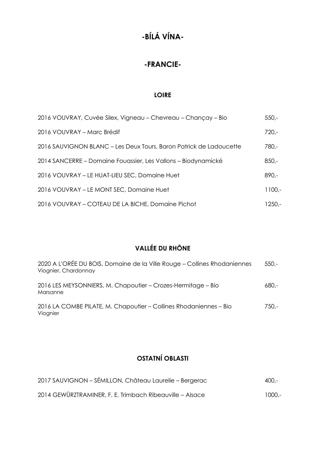## **-FRANCIE-**

#### **LOIRE**

| 2016 VOUVRAY, Cuvée Silex, Vigneau – Chevreau – Chançay – Bio      | $550 -$   |
|--------------------------------------------------------------------|-----------|
| 2016 VOUVRAY - Marc Brédif                                         | $720 -$   |
| 2016 SAUVIGNON BLANC - Les Deux Tours, Baron Patrick de Ladoucette | $780 -$   |
| 2014 SANCERRE – Domaine Fouassier, Les Vallons – Biodynamické      | $850 -$   |
| 2016 VOUVRAY - LE HUAT-LIEU SEC, Domaine Huet                      | $890 -$   |
| 2016 VOUVRAY - LE MONT SEC, Domaine Huet                           | $1100. -$ |
| 2016 VOUVRAY - COTEAU DE LA BICHE, Domaine Pichot                  | 1250,-    |

## **VALLÉE DU RHÔNE**

| 2020 A L'ORÉE DU BOIS, Domaine de la Ville Rouge - Collines Rhodaniennes<br>Viognier, Chardonnay | $550 -$ |
|--------------------------------------------------------------------------------------------------|---------|
| 2016 LES MEYSONNIERS, M. Chapoutier – Crozes-Hermitage – Bio<br>Marsanne                         | $680 -$ |
| 2016 LA COMBE PILATE, M. Chapoutier – Collines Rhodaniennes – Bio<br>Viognier                    | $750 -$ |

## **OSTATNÍ OBLASTI**

| 2017 SAUVIGNON - SÉMILLON, Château Laurelie - Bergerac   | -.000  |
|----------------------------------------------------------|--------|
| 2014 GEWÜRZTRAMINER, F. E. Trimbach Ribeauville - Alsace | 1000.- |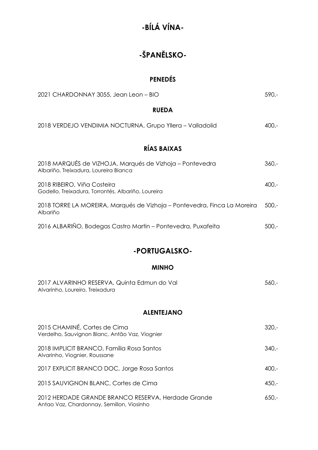# **-ŠPANĚLSKO-**

### **PENEDÉS**

| 2021 CHARDONNAY 3055, Jean Leon - BIO                                                             | $590 -$ |
|---------------------------------------------------------------------------------------------------|---------|
| <b>RUEDA</b>                                                                                      |         |
| 2018 VERDEJO VENDIMIA NOCTURNA, Grupo Yllera - Valladolid                                         | $400 -$ |
| RÍAS BAIXAS                                                                                       |         |
| 2018 MARQUÉS de VIZHOJA, Marqués de Vizhoja - Pontevedra<br>Albariño, Treixadura, Loureira Blanca | $360 -$ |
| 2018 RIBEIRO, Viña Costeira<br>Godello, Treixadura, Torrontés, Albariño, Loureira                 | $400 -$ |
| 2018 TORRE LA MOREIRA, Marqués de Vizhoja – Pontevedra, Finca La Moreira<br>Albariño              | $500 -$ |
| 2016 ALBARIÑO, Bodegas Castro Martin - Pontevedra, Puxafeita                                      | $500 -$ |

## **-PORTUGALSKO-**

#### **MINHO**

| 2017 ALVARINHO RESERVA, Quinta Edmun do Val | -560. |
|---------------------------------------------|-------|
| Alvarinho, Loureiro, Treixadura             |       |

#### **ALENTEJANO**

| 2015 CHAMINÉ, Cortes de Cima<br>Verdelho, Sauvignon Blanc, Antão Vaz, Viognier                  | $320 -$ |
|-------------------------------------------------------------------------------------------------|---------|
| 2018 IMPLICIT BRANCO, Família Rosa Santos<br>Alvarinho, Viognier, Roussane                      | $340 -$ |
| 2017 EXPLICIT BRANCO DOC, Jorge Rosa Santos                                                     | $400 -$ |
| 2015 SAUVIGNON BLANC, Cortes de Cima                                                            | $450 -$ |
| 2012 HERDADE GRANDE BRANCO RESERVA, Herdade Grande<br>Antao Vaz, Chardonnay, Semillon, Viosinho | $650 -$ |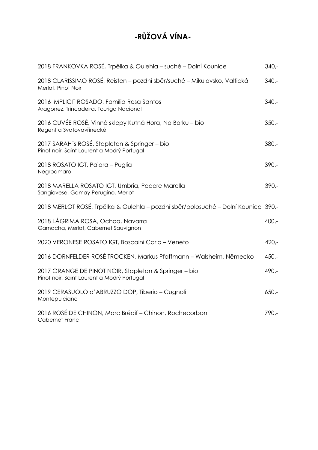# **-RŮŽOVÁ VÍNA-**

| 2018 FRANKOVKA ROSÉ, Trpělka & Oulehla – suché – Dolní Kounice                                      | $340 -$ |
|-----------------------------------------------------------------------------------------------------|---------|
| 2018 CLARISSIMO ROSÉ, Reisten - pozdní sběr/suché - Mikulovsko, Valtická<br>Merlot, Pinot Noir      | $340 -$ |
| 2016 IMPLICIT ROSADO, Família Rosa Santos<br>Aragonez, Trincadeira, Touriga Nacional                | $340 -$ |
| 2016 CUVÉE ROSÉ, Vinné sklepy Kutná Hora, Na Borku – bio<br>Regent a Svatovavřinecké                | $350 -$ |
| 2017 SARAH's ROSÉ, Stapleton & Springer – bio<br>Pinot noir, Saint Laurent a Modrý Portugal         | $380 -$ |
| 2018 ROSATO IGT, Paiara - Puglia<br>Negroamaro                                                      | $390 -$ |
| 2018 MARELLA ROSATO IGT, Umbria, Podere Marella<br>Sangiovese, Gamay Perugino, Merlot               | $390 -$ |
| 2018 MERLOT ROSÉ, Trpělka & Oulehla – pozdní sběr/polosuché – Dolní Kounice 390,-                   |         |
| 2018 LÁGRIMA ROSA, Ochoa, Navarra<br>Garnacha, Merlot, Cabernet Sauvignon                           | $400 -$ |
| 2020 VERONESE ROSATO IGT, Boscaini Carlo - Veneto                                                   | $420 -$ |
| 2016 DORNFELDER ROSÉ TROCKEN, Markus Pfaffmann - Walsheim, Německo                                  | $450 -$ |
| 2017 ORANGE DE PINOT NOIR, Stapleton & Springer - bio<br>Pinot noir, Saint Laurent a Modrý Portugal | 490,-   |
| 2019 CERASUOLO d'ABRUZZO DOP, Tiberio - Cugnoli<br>Montepulciano                                    | $650 -$ |
| 2016 ROSÉ DE CHINON, Marc Brédif - Chinon, Rochecorbon<br>Cabernet Franc                            | 790,-   |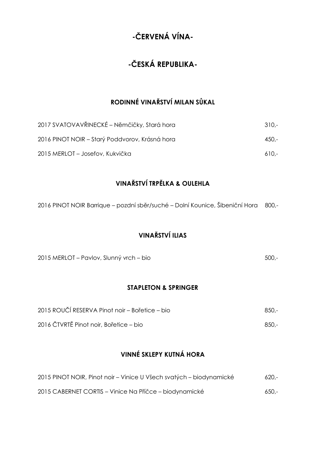## **-ČESKÁ REPUBLIKA-**

## **RODINNÉ VINAŘSTVÍ MILAN SŮKAL**

| 2017 SVATOVAVŘINECKÉ – Němčičky, Stará hora    | 310.-   |
|------------------------------------------------|---------|
| 2016 PINOT NOIR – Starý Poddvorov, Krásná hora | $450 -$ |
| 2015 MERLOT – Josefov, Kukvička                | $610 -$ |

## **VINAŘSTVÍ TRPĚLKA & OULEHLA**

2016 PINOT NOIR Barrique – pozdní sběr/suché – Dolní Kounice, Šibeniční Hora 800,-

### **VINAŘSTVÍ ILIAS**

2015 MERLOT – Pavlov, Slunný vrch – bio 500,-

#### **STAPLETON & SPRINGER**

| 2015 ROUČÍ RESERVA Pinot noir – Bořetice – bio | 850.- |
|------------------------------------------------|-------|
| 2016 ČTVRTĚ Pinot noir, Bořetice – bio         | 850.- |

### **VINNÉ SKLEPY KUTNÁ HORA**

| 2015 PINOT NOIR, Pinot noir – Vinice U Všech svatých – biodynamické | -620.   |
|---------------------------------------------------------------------|---------|
| 2015 CABERNET CORTIS – Vinice Na Příčce – biodynamické              | $650 -$ |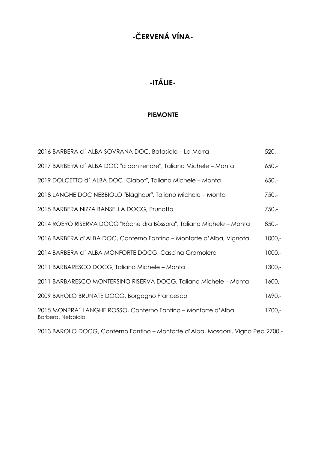# **-ITÁLIE-**

#### **PIEMONTE**

| 2016 BARBERA d'ALBA SOVRANA DOC, Batasiolo – La Morra                              | $520 -$  |
|------------------------------------------------------------------------------------|----------|
| 2017 BARBERA d'ALBA DOC "a bon rendre", Taliano Michele – Monta                    | $650 -$  |
| 2019 DOLCETTO d'ALBA DOC "Ciabot", Taliano Michele – Monta                         | $650 -$  |
| 2018 LANGHE DOC NEBBIOLO "Blagheur", Taliano Michele - Monta                       | $750 -$  |
| 2015 BARBERA NIZZA BANSELLA DOCG, Prunotto                                         | $750 -$  |
| 2014 ROERO RISERVA DOCG "Ròche dra Bòssora", Taliano Michele – Monta               | $850 -$  |
| 2016 BARBERA d'ALBA DOC, Conterno Fantino – Monforte d'Alba, Vignota               | $1000,-$ |
| 2014 BARBERA d'ALBA MONFORTE DOCG, Cascina Gramolere                               | $1000,-$ |
| 2011 BARBARESCO DOCG, Taliano Michele – Monta                                      | $1300 -$ |
| 2011 BARBARESCO MONTERSINO RISERVA DOCG, Taliano Michele – Monta                   | $1600 -$ |
| 2009 BAROLO BRUNATE DOCG, Borgogno Francesco                                       | $1690 -$ |
| 2015 MONPRA' LANGHE ROSSO, Conterno Fantino – Monforte d'Alba<br>Barbera, Nebbiolo | $1700 -$ |

2013 BAROLO DOCG, Conterno Fantino – Monforte d'Alba, Mosconi, Vigna Ped 2700,-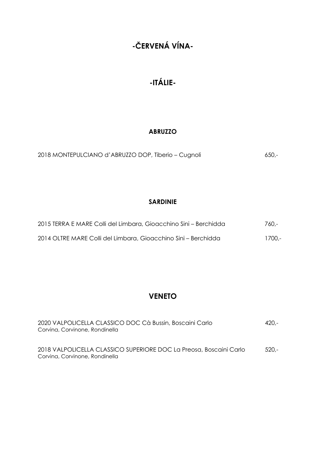# **-ITÁLIE-**

### **ABRUZZO**

| 2018 MONTEPULCIANO d'ABRUZZO DOP, Tiberio – Cugnoli | $650 -$ |
|-----------------------------------------------------|---------|
|-----------------------------------------------------|---------|

### **SARDINIE**

| 2015 TERRA E MARE Colli del Limbara, Gioacchino Sini – Berchidda | 760.-   |
|------------------------------------------------------------------|---------|
| 2014 OLTRE MARE Colli del Limbara, Gioacchino Sini – Berchidda   | -1700.- |

### **VENETO**

| 2020 VALPOLICELLA CLASSICO DOC Cà Bussin, Boscaini Carlo<br>Corvina, Corvinone, Rondinella           | $420 -$ |
|------------------------------------------------------------------------------------------------------|---------|
| 2018 VALPOLICELLA CLASSICO SUPERIORE DOC La Preosa, Boscaini Carlo<br>Corvina, Corvinone, Rondinella | $520 -$ |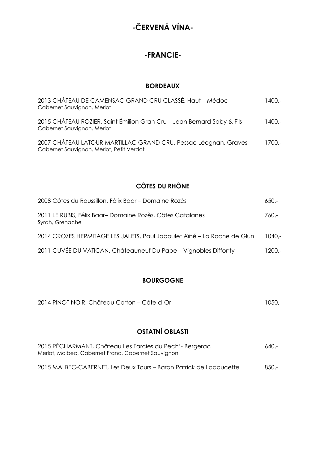### **-FRANCIE-**

#### **BORDEAUX**

| 2013 CHÂTEAU DE CAMENSAC GRAND CRU CLASSÉ, Haut - Médoc<br>Cabernet Sauvignon, Merlot                       | 1400.-   |
|-------------------------------------------------------------------------------------------------------------|----------|
| 2015 CHÂTEAU ROZIER, Saint Émilion Gran Cru - Jean Bernard Saby & Fils<br>Cabernet Sauvignon, Merlot        | $1400 -$ |
| 2007 CHÂTEAU LATOUR MARTILLAC GRAND CRU, Pessac Léognan, Graves<br>Cabernet Sauvignon, Merlot, Petit Verdot | 1700.-   |

### **CÔTES DU RHÔNE**

| 2008 Côtes du Roussillon, Félix Baar - Domaine Rozès                        | $650 -$ |
|-----------------------------------------------------------------------------|---------|
| 2011 LE RUBIS, Félix Baar-Domaine Rozès, Côtes Catalanes<br>Syrah, Grenache | 760.-   |
| 2014 CROZES HERMITAGE LES JALETS, Paul Jaboulet Aîné - La Roche de Glun     | 1040.-  |
| 2011 CUVÉE DU VATICAN, Châteauneuf Du Pape – Vignobles Diffonty             | 1200,-  |

### **BOURGOGNE**

| 2014 PINOT NOIR, Château Corton – Côte d'Or | $1050 -$ |
|---------------------------------------------|----------|
|---------------------------------------------|----------|

## **OSTATNÍ OBLASTI**

| 2015 PÉCHARMANT, Château Les Farcies du Pech <sup>1</sup> - Bergerac<br>Merlot, Malbec, Cabernet Franc, Cabernet Sauvignon | $640 -$ |
|----------------------------------------------------------------------------------------------------------------------------|---------|
| 2015 MALBEC-CABERNET, Les Deux Tours – Baron Patrick de Ladoucette                                                         | $850 -$ |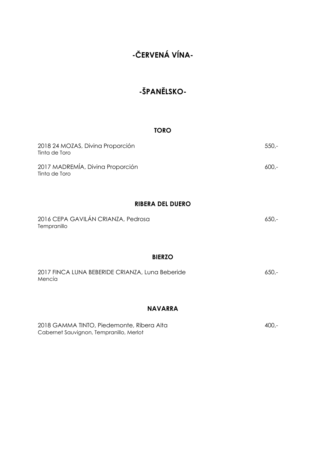# **-ŠPANĚLSKO-**

#### **TORO**

| 2018 24 MOZAS, Divina Proporción<br>Tinta de Toro | -550.   |
|---------------------------------------------------|---------|
| 2017 MADREMÍA, Divina Proporción<br>Tinta de Toro | $600 -$ |

### **RIBERA DEL DUERO**

| 2016 CEPA GAVILÁN CRIANZA, Pedrosa | -،650 |
|------------------------------------|-------|
| Tempranillo                        |       |

#### **BIERZO**

| 2017 FINCA LUNA BEBERIDE CRIANZA, Luna Beberide | -،650 |
|-------------------------------------------------|-------|
| Mencía                                          |       |

### **NAVARRA**

| 2018 GAMMA TINTO, Piedemonte, Ribera Alta | 400,- |
|-------------------------------------------|-------|
| Cabernet Sauvignon, Tempranillo, Merlot   |       |